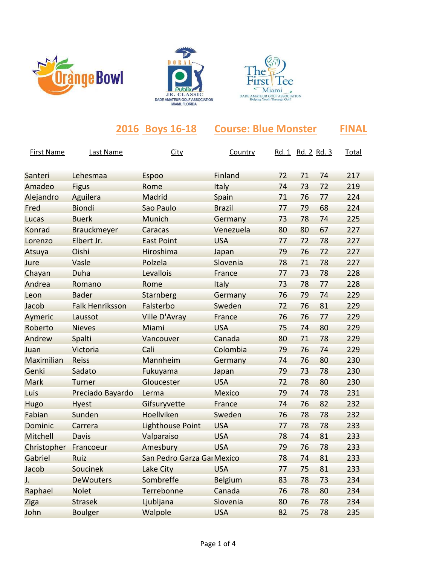





|                   |                        | 2016 Boys 16-18            | <b>Course: Blue Monster</b> |    |                          |    | <b>FINAL</b> |
|-------------------|------------------------|----------------------------|-----------------------------|----|--------------------------|----|--------------|
| <b>First Name</b> | Last Name              | <b>City</b>                | Country                     |    | <u>Rd. 1 Rd. 2 Rd. 3</u> |    | <b>Total</b> |
| Santeri           | Lehesmaa               | <b>Espoo</b>               | Finland                     | 72 | 71                       | 74 | 217          |
| Amadeo            | <b>Figus</b>           | Rome                       | <b>Italy</b>                | 74 | 73                       | 72 | 219          |
| Alejandro         | Aguilera               | Madrid                     | Spain                       | 71 | 76                       | 77 | 224          |
| Fred              | <b>Biondi</b>          | Sao Paulo                  | <b>Brazil</b>               | 77 | 79                       | 68 | 224          |
| Lucas             | <b>Buerk</b>           | Munich                     | Germany                     | 73 | 78                       | 74 | 225          |
| Konrad            | <b>Brauckmeyer</b>     | Caracas                    | Venezuela                   | 80 | 80                       | 67 | 227          |
| Lorenzo           | Elbert Jr.             | <b>East Point</b>          | <b>USA</b>                  | 77 | 72                       | 78 | 227          |
| Atsuya            | Oishi                  | Hiroshima                  | Japan                       | 79 | 76                       | 72 | 227          |
| Jure              | Vasle                  | Polzela                    | Slovenia                    | 78 | 71                       | 78 | 227          |
| Chayan            | Duha                   | Levallois                  | France                      | 77 | 73                       | 78 | 228          |
| Andrea            | Romano                 | Rome                       | Italy                       | 73 | 78                       | 77 | 228          |
| Leon              | <b>Bader</b>           | <b>Starnberg</b>           | Germany                     | 76 | 79                       | 74 | 229          |
| Jacob             | <b>Falk Henriksson</b> | Falsterbo                  | Sweden                      | 72 | 76                       | 81 | 229          |
| Aymeric           | Laussot                | <b>Ville D'Avray</b>       | France                      | 76 | 76                       | 77 | 229          |
| Roberto           | <b>Nieves</b>          | Miami                      | <b>USA</b>                  | 75 | 74                       | 80 | 229          |
| Andrew            | Spalti                 | Vancouver                  | Canada                      | 80 | 71                       | 78 | 229          |
| Juan              | Victoria               | Cali                       | Colombia                    | 79 | 76                       | 74 | 229          |
| Maximilian        | Reiss                  | Mannheim                   | Germany                     | 74 | 76                       | 80 | 230          |
| Genki             | Sadato                 | Fukuyama                   | Japan                       | 79 | 73                       | 78 | 230          |
| Mark              | Turner                 | Gloucester                 | <b>USA</b>                  | 72 | 78                       | 80 | 230          |
| Luis              | Preciado Bayardo       | Lerma                      | <b>Mexico</b>               | 79 | 74                       | 78 | 231          |
| Hugo              | <b>Hyest</b>           | Gifsuryvette               | France                      | 74 | 76                       | 82 | 232          |
| Fabian            | Sunden                 | Hoellviken                 | Sweden                      | 76 | 78                       | 78 | 232          |
| Dominic           | Carrera                | <b>Lighthouse Point</b>    | <b>USA</b>                  | 77 | 78                       | 78 | 233          |
| Mitchell          | Davis                  | Valparaiso                 | <b>USA</b>                  | 78 | 74                       | 81 | 233          |
| Christopher       | Francoeur              | Amesbury                   | <b>USA</b>                  | 79 | 76                       | 78 | 233          |
| Gabriel           | Ruiz                   | San Pedro Garza Gai Mexico |                             | 78 | 74                       | 81 | 233          |
| Jacob             | Soucinek               | Lake City                  | <b>USA</b>                  | 77 | 75                       | 81 | 233          |
| J.                | <b>DeWouters</b>       | Sombreffe                  | <b>Belgium</b>              | 83 | 78                       | 73 | 234          |
| Raphael           | <b>Nolet</b>           | Terrebonne                 | Canada                      | 76 | 78                       | 80 | 234          |
| Ziga              | <b>Strasek</b>         | Ljubljana                  | Slovenia                    | 80 | 76                       | 78 | 234          |
| John              | <b>Boulger</b>         | Walpole                    | <b>USA</b>                  | 82 | 75                       | 78 | 235          |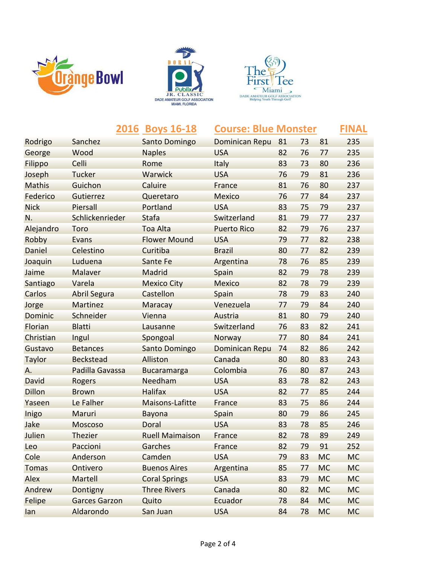





|               |                      | 2016 Boys 16-18        | <b>Course: Blue Monster</b> |    |    |           | <b>FINAL</b> |
|---------------|----------------------|------------------------|-----------------------------|----|----|-----------|--------------|
| Rodrigo       | Sanchez              | <b>Santo Domingo</b>   | <b>Dominican Repu</b>       | 81 | 73 | 81        | 235          |
| George        | Wood                 | <b>Naples</b>          | <b>USA</b>                  | 82 | 76 | 77        | 235          |
| Filippo       | Celli                | Rome                   | Italy                       | 83 | 73 | 80        | 236          |
| Joseph        | Tucker               | Warwick                | <b>USA</b>                  | 76 | 79 | 81        | 236          |
| <b>Mathis</b> | Guichon              | Caluire                | France                      | 81 | 76 | 80        | 237          |
| Federico      | Gutierrez            | Queretaro              | <b>Mexico</b>               | 76 | 77 | 84        | 237          |
| <b>Nick</b>   | Piersall             | Portland               | <b>USA</b>                  | 83 | 75 | 79        | 237          |
| N.            | Schlickenrieder      | Stafa                  | Switzerland                 | 81 | 79 | 77        | 237          |
| Alejandro     | Toro                 | <b>Toa Alta</b>        | <b>Puerto Rico</b>          | 82 | 79 | 76        | 237          |
| Robby         | Evans                | <b>Flower Mound</b>    | <b>USA</b>                  | 79 | 77 | 82        | 238          |
| Daniel        | Celestino            | Curitiba               | <b>Brazil</b>               | 80 | 77 | 82        | 239          |
| Joaquin       | Luduena              | Sante Fe               | Argentina                   | 78 | 76 | 85        | 239          |
| Jaime         | Malaver              | Madrid                 | Spain                       | 82 | 79 | 78        | 239          |
| Santiago      | Varela               | <b>Mexico City</b>     | <b>Mexico</b>               | 82 | 78 | 79        | 239          |
| Carlos        | <b>Abril Segura</b>  | Castellon              | Spain                       | 78 | 79 | 83        | 240          |
| Jorge         | Martinez             | Maracay                | Venezuela                   | 77 | 79 | 84        | 240          |
| Dominic       | Schneider            | Vienna                 | Austria                     | 81 | 80 | 79        | 240          |
| Florian       | <b>Blatti</b>        | Lausanne               | Switzerland                 | 76 | 83 | 82        | 241          |
| Christian     | Ingul                | Spongoal               | Norway                      | 77 | 80 | 84        | 241          |
| Gustavo       | <b>Betances</b>      | Santo Domingo          | Dominican Repu              | 74 | 82 | 86        | 242          |
| <b>Taylor</b> | <b>Beckstead</b>     | Alliston               | Canada                      | 80 | 80 | 83        | 243          |
| Α.            | Padilla Gavassa      | <b>Bucaramarga</b>     | Colombia                    | 76 | 80 | 87        | 243          |
| David         | Rogers               | Needham                | <b>USA</b>                  | 83 | 78 | 82        | 243          |
| <b>Dillon</b> | <b>Brown</b>         | <b>Halifax</b>         | <b>USA</b>                  | 82 | 77 | 85        | 244          |
| Yaseen        | Le Falher            | <b>Maisons-Lafitte</b> | France                      | 83 | 75 | 86        | 244          |
| Inigo         | Maruri               | <b>Bayona</b>          | Spain                       | 80 | 79 | 86        | 245          |
| Jake          | <b>Moscoso</b>       | Doral                  | <b>USA</b>                  | 83 | 78 | 85        | 246          |
| Julien        | <b>Thezier</b>       | <b>Ruell Maimaison</b> | France                      | 82 | 78 | 89        | 249          |
| Leo           | Paccioni             | Garches                | France                      | 82 | 79 | 91        | 252          |
| Cole          | Anderson             | Camden                 | <b>USA</b>                  | 79 | 83 | <b>MC</b> | <b>MC</b>    |
| <b>Tomas</b>  | Ontivero             | <b>Buenos Aires</b>    | Argentina                   | 85 | 77 | <b>MC</b> | <b>MC</b>    |
| Alex          | Martell              | <b>Coral Springs</b>   | <b>USA</b>                  | 83 | 79 | <b>MC</b> | <b>MC</b>    |
| Andrew        | Dontigny             | <b>Three Rivers</b>    | Canada                      | 80 | 82 | <b>MC</b> | <b>MC</b>    |
| Felipe        | <b>Garces Garzon</b> | Quito                  | Ecuador                     | 78 | 84 | <b>MC</b> | <b>MC</b>    |
| lan           | Aldarondo            | San Juan               | <b>USA</b>                  | 84 | 78 | <b>MC</b> | <b>MC</b>    |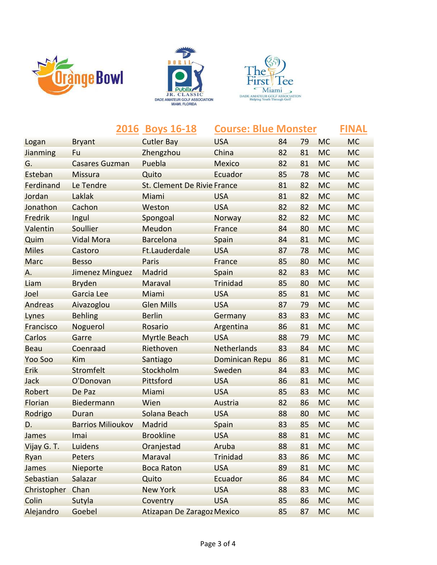





|                 |                          | 2016 Boys 16-18                    | <b>Course: Blue Monster</b> |    |    |           | <b>FINAL</b> |
|-----------------|--------------------------|------------------------------------|-----------------------------|----|----|-----------|--------------|
| Logan           | <b>Bryant</b>            | <b>Cutler Bay</b>                  | <b>USA</b>                  | 84 | 79 | <b>MC</b> | <b>MC</b>    |
| <b>Jianming</b> | Fu                       | Zhengzhou                          | China                       | 82 | 81 | <b>MC</b> | <b>MC</b>    |
| G.              | <b>Casares Guzman</b>    | Puebla                             | <b>Mexico</b>               | 82 | 81 | <b>MC</b> | <b>MC</b>    |
| Esteban         | <b>Missura</b>           | Quito                              | Ecuador                     | 85 | 78 | <b>MC</b> | <b>MC</b>    |
| Ferdinand       | Le Tendre                | <b>St. Clement De Rivie France</b> |                             | 81 | 82 | <b>MC</b> | <b>MC</b>    |
| Jordan          | Laklak                   | Miami                              | <b>USA</b>                  | 81 | 82 | <b>MC</b> | <b>MC</b>    |
| Jonathon        | Cachon                   | Weston                             | <b>USA</b>                  | 82 | 82 | <b>MC</b> | <b>MC</b>    |
| Fredrik         | Ingul                    | Spongoal                           | Norway                      | 82 | 82 | <b>MC</b> | <b>MC</b>    |
| Valentin        | Soullier                 | Meudon                             | France                      | 84 | 80 | <b>MC</b> | <b>MC</b>    |
| Quim            | <b>Vidal Mora</b>        | <b>Barcelona</b>                   | Spain                       | 84 | 81 | <b>MC</b> | <b>MC</b>    |
| <b>Miles</b>    | Castoro                  | Ft.Lauderdale                      | <b>USA</b>                  | 87 | 78 | <b>MC</b> | <b>MC</b>    |
| Marc            | <b>Besso</b>             | Paris                              | France                      | 85 | 80 | <b>MC</b> | <b>MC</b>    |
| Α.              | <b>Jimenez Minguez</b>   | Madrid                             | Spain                       | 82 | 83 | <b>MC</b> | <b>MC</b>    |
| Liam            | <b>Bryden</b>            | Maraval                            | <b>Trinidad</b>             | 85 | 80 | <b>MC</b> | <b>MC</b>    |
| Joel            | Garcia Lee               | Miami                              | <b>USA</b>                  | 85 | 81 | <b>MC</b> | <b>MC</b>    |
| Andreas         | Aivazoglou               | <b>Glen Mills</b>                  | <b>USA</b>                  | 87 | 79 | <b>MC</b> | <b>MC</b>    |
| Lynes           | <b>Behling</b>           | <b>Berlin</b>                      | Germany                     | 83 | 83 | <b>MC</b> | <b>MC</b>    |
| Francisco       | Noguerol                 | Rosario                            | Argentina                   | 86 | 81 | <b>MC</b> | <b>MC</b>    |
| Carlos          | Garre                    | <b>Myrtle Beach</b>                | <b>USA</b>                  | 88 | 79 | <b>MC</b> | <b>MC</b>    |
| <b>Beau</b>     | Coenraad                 | Riethoven                          | Netherlands                 | 83 | 84 | <b>MC</b> | <b>MC</b>    |
| Yoo Soo         | Kim                      | Santiago                           | <b>Dominican Repu</b>       | 86 | 81 | <b>MC</b> | <b>MC</b>    |
| Erik            | Stromfelt                | Stockholm                          | Sweden                      | 84 | 83 | <b>MC</b> | <b>MC</b>    |
| Jack            | O'Donovan                | Pittsford                          | <b>USA</b>                  | 86 | 81 | <b>MC</b> | <b>MC</b>    |
| Robert          | De Paz                   | Miami                              | <b>USA</b>                  | 85 | 83 | <b>MC</b> | <b>MC</b>    |
| Florian         | Biedermann               | Wien                               | Austria                     | 82 | 86 | <b>MC</b> | <b>MC</b>    |
| Rodrigo         | Duran                    | Solana Beach                       | <b>USA</b>                  | 88 | 80 | <b>MC</b> | <b>MC</b>    |
| D.              | <b>Barrios Milioukov</b> | Madrid                             | Spain                       | 83 | 85 | <b>MC</b> | <b>MC</b>    |
| James           | Imai                     | <b>Brookline</b>                   | <b>USA</b>                  | 88 | 81 | <b>MC</b> | <b>MC</b>    |
| Vijay G. T.     | Luidens                  | Oranjestad                         | Aruba                       | 88 | 81 | <b>MC</b> | <b>MC</b>    |
| Ryan            | Peters                   | Maraval                            | <b>Trinidad</b>             | 83 | 86 | <b>MC</b> | <b>MC</b>    |
| James           | Nieporte                 | <b>Boca Raton</b>                  | <b>USA</b>                  | 89 | 81 | <b>MC</b> | <b>MC</b>    |
| Sebastian       | Salazar                  | Quito                              | Ecuador                     | 86 | 84 | <b>MC</b> | <b>MC</b>    |
| Christopher     | Chan                     | <b>New York</b>                    | <b>USA</b>                  | 88 | 83 | <b>MC</b> | <b>MC</b>    |
| Colin           | Sutyla                   | Coventry                           | <b>USA</b>                  | 85 | 86 | <b>MC</b> | <b>MC</b>    |
| Alejandro       | Goebel                   | Atizapan De Zaragoz Mexico         |                             | 85 | 87 | <b>MC</b> | <b>MC</b>    |